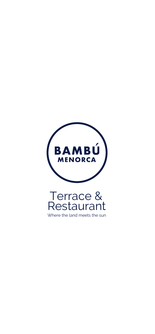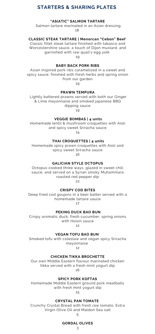# **STARTERS & SHARING PLATES**

### **"ASIATIC" SALMON TARTARE**

Salmon tartare marinated in an Asian dressing 18

### **CLASSIC STEAK TARTARE | Menorcan "Cebon" Beef**

Classic fillet steak tartare finished with tabasco and Worcestershire sauce, a touch of Dijon mustard, and garnished with raw quail's egg yolk 19

### **BABY BACK PORK RIBS**

Asian inspired pork ribs caramelized in a sweet and spicy sauce, finished with fresh herbs and spring onion from our garden

19

### **PRAWN TEMPURA**

Lightly battered prawns served with both our Ginger & Lime mayonnaise and smoked japanese BBQ dipping sauce

19

### **VEGGIE BOMBAS | 4 units**

Homemade lentil & mushroom croquettes with Aioli and spicy sweet Sriracha sauce 14

#### **THAI CROQUETTES | 4 units**

Homemade spicy prawn croquettes with Aioli and spicy sweet Sriracha sauce 16

# **GALICIAN STYLE OCTOPUS**

Octopus cooked three ways, glazed in sweet chili sauce, and served on a Syrian smoky Muhammara roasted red pepper dip 22

### **CRISPY COD BITES**

Deep fried cod goujons in a beer batter served with a homemade tartare sauce 17

#### **PEKING DUCK BAO BUN**

Crispy aromatic duck, fresh cucumber, spring onions with Hoisin sauce 12

# **VEGAN TOFU BAO BUN**

Smoked tofu with coleslaw and vegan spicy Sriracha mayonnaise

12

# **CHICKEN TIKKA BROCHETTE**

Our own Middle Eastern flavour marinated chicken tikka served with a fresh mint yogurt dip 16

### **SPICY PORK KOFTAS**

Homemade Middle Eastern ground pork meatballs with fresh mint yogurt dip

15

#### **CRYSTAL PAN TOMATE**

Crunchy Crystal Bread with fresh raw tomato, Extra Virgin Olive Oil and Maldon Sea salt

#### **GORDAL OLIVES** 3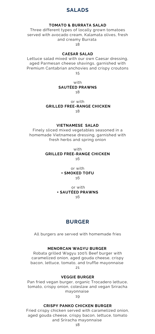# **SALADS**

# **TOMATO & BURRATA SALAD**

Three different types of locally grown tomatoes served with avocado cream, Kalamata olives, fresh and creamy Burrata 18

### **[CAESAR](https://www.taste.com.au/recipes/prawn-caesar-salad-2/58fae2b3-e6b4-4bd8-a688-9a8d83f2e4f1) SALAD**

Lettuce salad mixed with our own Caesar dressing, aged Parmesan cheese shavings, garnished with Premium Cantabrian anchovies and crispy croutons 15

# with **SAUTÉED PRAWNS** 18

or with **GRILLED FREE-RANGE CHICKEN** 18

### **VIETNAMESE SALAD**

Finely sliced mixed vegetables seasoned in a homemade Vietnamese dressing, garnished with fresh herbs and spring onion

> with **GRILLED FREE-RANGE CHICKEN** 16

> > or with **+ SMOKED TOFU** 16

or with **+ SAUTÉED PRAWNS** 16

# **BURGER**

All burgers are served with homemade fries

# **MENORCAN WAGYU BURGER**

Robata grilled Wagyu 100% Beef burger with caramelized onion, aged gouda cheese, crispy bacon, lettuce, tomato, and truffle mayonnaise 21

**VEGGIE BURGER**

Pan fried vegan burger, organic Trocadero lettuce, tomato, crispy onion, coleslaw and vegan Sriracha mayonnaise

19

### **CRISPY PANKO CHICKEN BURGER**

Fried crispy chicken served with caramelized onion, aged gouda cheese, crispy bacon, lettuce, tomato and Sriracha mayonnaise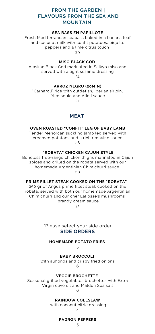# **FROM THE GARDEN | FLAVOURS FROM THE SEA AND MOUNTAIN**

# **SEA BASS EN PAPILLOTE**

Fresh Mediterranean seabass baked in a banana leaf and coconut milk with confit potatoes, piquillo peppers and a lime citrus touch 29

# **MISO BLACK COD**

Alaskan Black Cod marinated in Saikyo miso and served with a light sesame dressing 31

# **ARROZ NEGRO (20MIN)**

"Carnaroli" rice with cuttlefish, Iberian sirloin, fried squid and Alioli sauce

21

# **MEAT**

# **OVEN ROASTED "CONFIT" LEG OF BABY LAMB**

Tender Menorcan suckling lamb leg served with creamed potatoes and a rich red wine sauce  $28$ 

# **"ROBATA" CHICKEN CAJUN STYLE**

Boneless free-range chicken thighs marinated in Cajun spices and grilled on the robata served with our homemade Argentinian Chimichurri sauce  $20$ 

### **PRIME FILLET STEAK COOKED ON THE "ROBATA"**

250 gr of Angus prime fillet steak cooked on the robata, served with both our homemade Argentinian Chimichurri and our chef LaFosse's mushrooms brandy cream sauce

31

\*Please select your side order **SIDE ORDERS**

# **HOMEMADE POTATO FRIES**

5

# **BABY BROCCOLI**

with almonds and crispy fried onions 6

# **VEGGIE BROCHETTE**

Seasonal grilled vegetables brochettes with Extra Virgin olive oil and Maldon Sea salt

6

# **RAINBOW COLESLAW**

with coconut citric dressing

#### $\Delta$

### **PADRON PEPPERS**